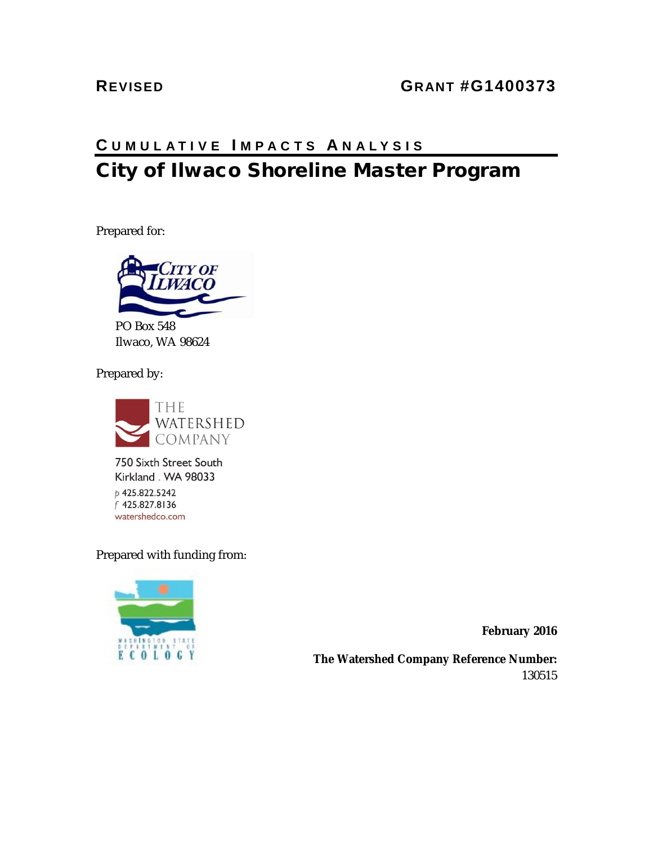#### **REVISED GRANT #G1400373**

### **C UMULATIVE I MPACTS A NALYSIS** City of Ilwaco Shoreline Master Program

Prepared for:



PO Box 548 Ilwaco, WA 98624

Prepared by:



750 Sixth Street South Kirkland . WA 98033 p 425.822.5242 f 425.827.8136 watershedco.com

Prepared with funding from:



**February 2016**

**The Watershed Company Reference Number:** 130515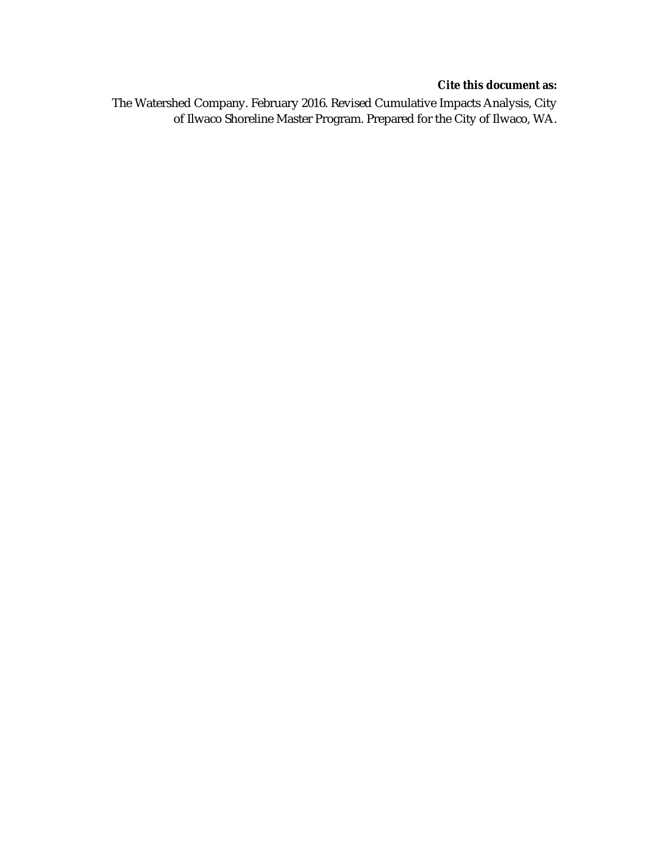#### **Cite this document as:**

The Watershed Company. February 2016. Revised Cumulative Impacts Analysis, City of Ilwaco Shoreline Master Program. Prepared for the City of Ilwaco, WA.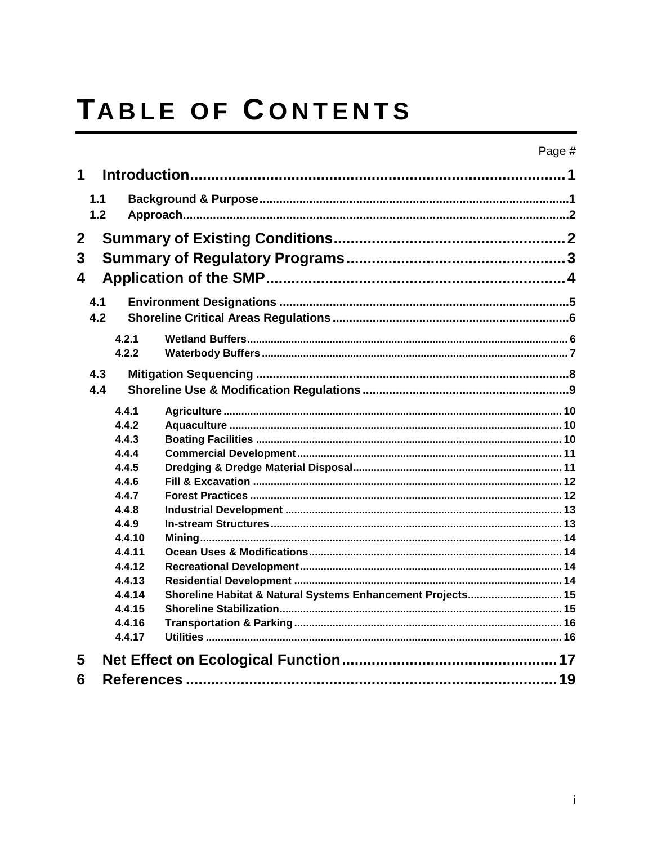# TABLE OF CONTENTS

| 1              |     |                |                                                             |  |  |  |  |  |  |  |
|----------------|-----|----------------|-------------------------------------------------------------|--|--|--|--|--|--|--|
| 1.1<br>1.2     |     |                |                                                             |  |  |  |  |  |  |  |
| $\mathbf{2}$   |     |                |                                                             |  |  |  |  |  |  |  |
| $\overline{3}$ |     |                |                                                             |  |  |  |  |  |  |  |
| 4              |     |                |                                                             |  |  |  |  |  |  |  |
|                |     |                |                                                             |  |  |  |  |  |  |  |
|                | 4.1 |                |                                                             |  |  |  |  |  |  |  |
|                | 4.2 |                |                                                             |  |  |  |  |  |  |  |
|                |     | 4.2.1          |                                                             |  |  |  |  |  |  |  |
|                |     | 4.2.2          |                                                             |  |  |  |  |  |  |  |
|                | 4.3 |                |                                                             |  |  |  |  |  |  |  |
|                | 4.4 |                |                                                             |  |  |  |  |  |  |  |
|                |     |                |                                                             |  |  |  |  |  |  |  |
|                |     | 4.4.1          |                                                             |  |  |  |  |  |  |  |
|                |     | 4.4.2          |                                                             |  |  |  |  |  |  |  |
|                |     | 4.4.3<br>4.4.4 |                                                             |  |  |  |  |  |  |  |
|                |     | 4.4.5          |                                                             |  |  |  |  |  |  |  |
|                |     | 4.4.6          |                                                             |  |  |  |  |  |  |  |
|                |     | 4.4.7          |                                                             |  |  |  |  |  |  |  |
|                |     | 4.4.8          |                                                             |  |  |  |  |  |  |  |
|                |     | 4.4.9          |                                                             |  |  |  |  |  |  |  |
|                |     | 4.4.10         |                                                             |  |  |  |  |  |  |  |
|                |     | 4.4.11         |                                                             |  |  |  |  |  |  |  |
|                |     | 4.4.12         |                                                             |  |  |  |  |  |  |  |
|                |     | 4.4.13         |                                                             |  |  |  |  |  |  |  |
|                |     | 4.4.14         | Shoreline Habitat & Natural Systems Enhancement Projects 15 |  |  |  |  |  |  |  |
|                |     | 4.4.15         |                                                             |  |  |  |  |  |  |  |
|                |     | 4.4.16         |                                                             |  |  |  |  |  |  |  |
|                |     | 4.4.17         |                                                             |  |  |  |  |  |  |  |
| 5              |     |                |                                                             |  |  |  |  |  |  |  |
| 6              |     |                |                                                             |  |  |  |  |  |  |  |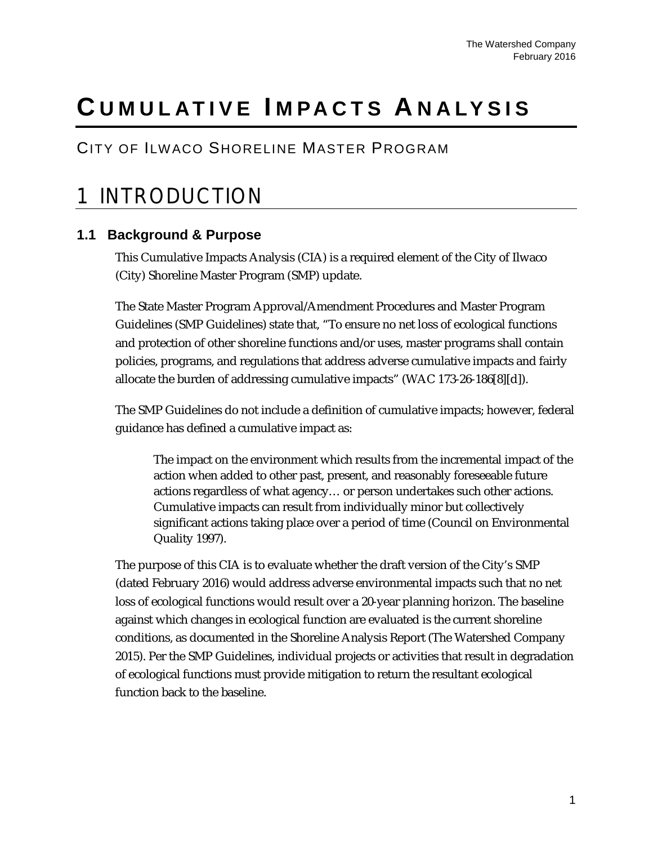## **C UMULATIVE I MPACTS A NALYSIS**

#### CITY OF ILWACO SHORELINE MASTER PROGRAM

### <span id="page-4-0"></span>1 INTR ODUCTION

#### <span id="page-4-1"></span>**1.1 Background & Purpose**

This Cumulative Impacts Analysis (CIA) is a required element of the City of Ilwaco (City) Shoreline Master Program (SMP) update.

The State Master Program Approval/Amendment Procedures and Master Program Guidelines (SMP Guidelines) state that, "To ensure no net loss of ecological functions and protection of other shoreline functions and/or uses, master programs shall contain policies, programs, and regulations that address adverse cumulative impacts and fairly allocate the burden of addressing cumulative impacts" (WAC 173-26-186[8][d]).

The SMP Guidelines do not include a definition of cumulative impacts; however, federal guidance has defined a cumulative impact as:

The impact on the environment which results from the incremental impact of the action when added to other past, present, and reasonably foreseeable future actions regardless of what agency… or person undertakes such other actions. Cumulative impacts can result from individually minor but collectively significant actions taking place over a period of time (Council on Environmental Quality 1997).

The purpose of this CIA is to evaluate whether the draft version of the City's SMP (dated February 2016) would address adverse environmental impacts such that no net loss of ecological functions would result over a 20-year planning horizon. The baseline against which changes in ecological function are evaluated is the current shoreline conditions, as documented in the Shoreline Analysis Report (The Watershed Company 2015). Per the SMP Guidelines, individual projects or activities that result in degradation of ecological functions must provide mitigation to return the resultant ecological function back to the baseline.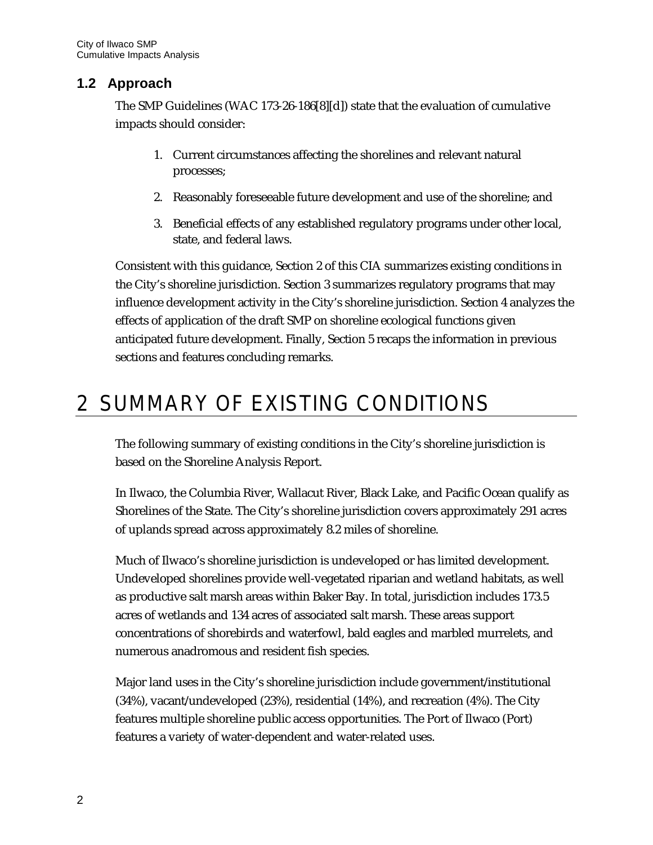#### <span id="page-5-0"></span>**1.2 Approach**

The SMP Guidelines (WAC 173-26-186[8][d]) state that the evaluation of cumulative impacts should consider:

- 1. Current circumstances affecting the shorelines and relevant natural processes;
- 2. Reasonably foreseeable future development and use of the shoreline; and
- 3. Beneficial effects of any established regulatory programs under other local, state, and federal laws.

Consistent with this guidance, Section 2 of this CIA summarizes existing conditions in the City's shoreline jurisdiction. Section 3 summarizes regulatory programs that may influence development activity in the City's shoreline jurisdiction. Section 4 analyzes the effects of application of the draft SMP on shoreline ecological functions given anticipated future development. Finally, Section 5 recaps the information in previous sections and features concluding remarks.

### <span id="page-5-1"></span>2 S UMMAR Y OF E XIS TING CONDITIONS

The following summary of existing conditions in the City's shoreline jurisdiction is based on the Shoreline Analysis Report.

In Ilwaco, the Columbia River, Wallacut River, Black Lake, and Pacific Ocean qualify as Shorelines of the State. The City's shoreline jurisdiction covers approximately 291 acres of uplands spread across approximately 8.2 miles of shoreline.

Much of Ilwaco's shoreline jurisdiction is undeveloped or has limited development. Undeveloped shorelines provide well-vegetated riparian and wetland habitats, as well as productive salt marsh areas within Baker Bay. In total, jurisdiction includes 173.5 acres of wetlands and 134 acres of associated salt marsh. These areas support concentrations of shorebirds and waterfowl, bald eagles and marbled murrelets, and numerous anadromous and resident fish species.

Major land uses in the City's shoreline jurisdiction include government/institutional (34%), vacant/undeveloped (23%), residential (14%), and recreation (4%). The City features multiple shoreline public access opportunities. The Port of Ilwaco (Port) features a variety of water-dependent and water-related uses.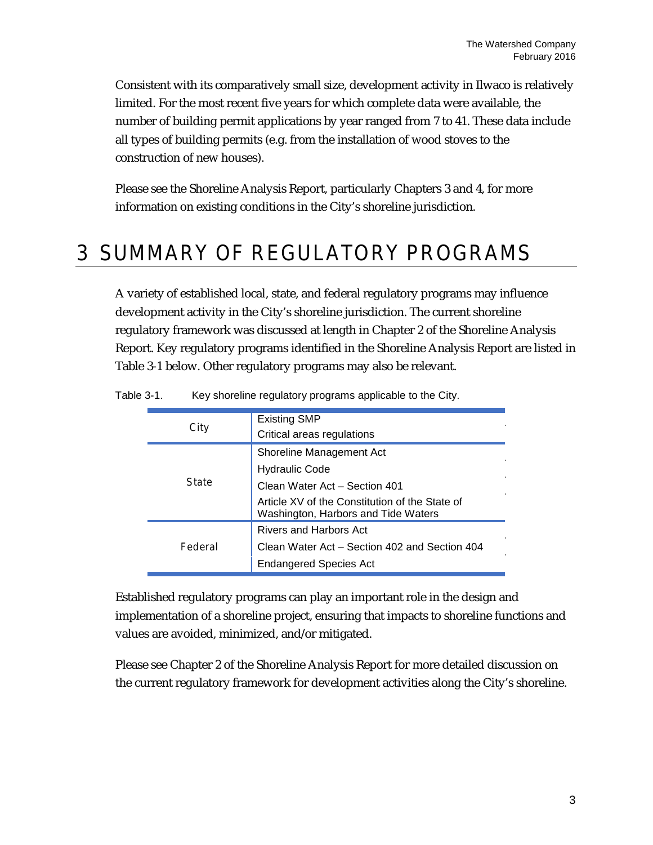Consistent with its comparatively small size, development activity in Ilwaco is relatively limited. For the most recent five years for which complete data were available, the number of building permit applications by year ranged from 7 to 41. These data include all types of building permits (e.g. from the installation of wood stoves to the construction of new houses).

Please see the Shoreline Analysis Report, particularly Chapters 3 and 4, for more information on existing conditions in the City's shoreline jurisdiction.

### <span id="page-6-0"></span>3 S UMMAR Y OF R EGULATOR Y PR OGR AMS

A variety of established local, state, and federal regulatory programs may influence development activity in the City's shoreline jurisdiction. The current shoreline regulatory framework was discussed at length in Chapter 2 of the Shoreline Analysis Report. Key regulatory programs identified in the Shoreline Analysis Report are listed in Table 3-1 below. Other regulatory programs may also be relevant.

| C itv   | <b>Existing SMP</b><br>Critical areas regulations                                     |
|---------|---------------------------------------------------------------------------------------|
|         | Shoreline Management Act                                                              |
|         | <b>Hydraulic Code</b>                                                                 |
| State   | Clean Water Act - Section 401                                                         |
|         | Article XV of the Constitution of the State of<br>Washington, Harbors and Tide Waters |
|         | Rivers and Harbors Act                                                                |
| Eederal | Clean Water Act - Section 402 and Section 404                                         |
|         | Endangered Species Act                                                                |

Table 3-1. Key shoreline regulatory programs applicable to the City.

Established regulatory programs can play an important role in the design and implementation of a shoreline project, ensuring that impacts to shoreline functions and values are avoided, minimized, and/or mitigated.

Please see Chapter 2 of the Shoreline Analysis Report for more detailed discussion on the current regulatory framework for development activities along the City's shoreline.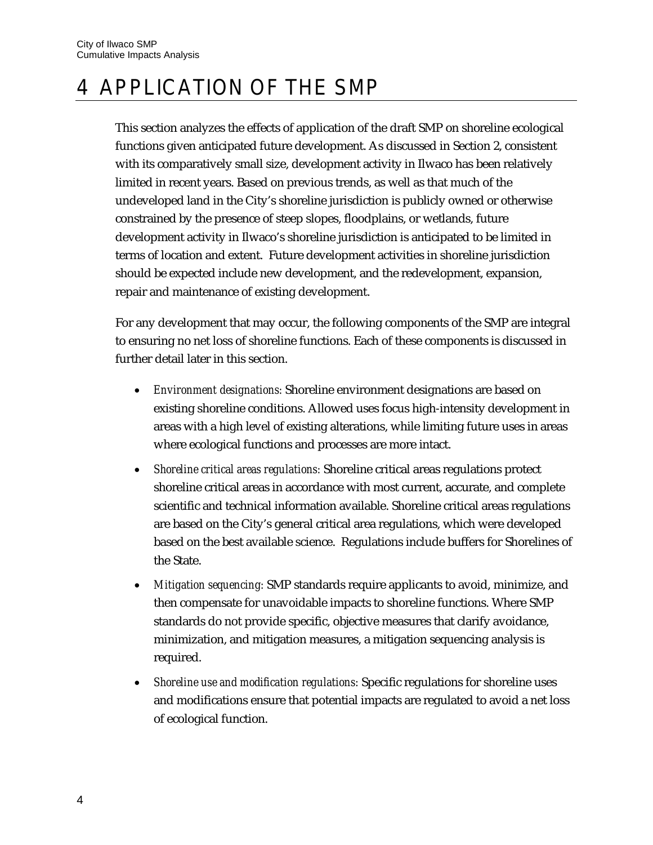### <span id="page-7-0"></span>4 APPLIC ATION OF THE S MP

This section analyzes the effects of application of the draft SMP on shoreline ecological functions given anticipated future development. As discussed in Section 2, consistent with its comparatively small size, development activity in Ilwaco has been relatively limited in recent years. Based on previous trends, as well as that much of the undeveloped land in the City's shoreline jurisdiction is publicly owned or otherwise constrained by the presence of steep slopes, floodplains, or wetlands, future development activity in Ilwaco's shoreline jurisdiction is anticipated to be limited in terms of location and extent. Future development activities in shoreline jurisdiction should be expected include new development, and the redevelopment, expansion, repair and maintenance of existing development.

For any development that may occur, the following components of the SMP are integral to ensuring no net loss of shoreline functions. Each of these components is discussed in further detail later in this section.

- *Environment designations:* Shoreline environment designations are based on existing shoreline conditions. Allowed uses focus high-intensity development in areas with a high level of existing alterations, while limiting future uses in areas where ecological functions and processes are more intact.
- *Shoreline critical areas regulations:* Shoreline critical areas regulations protect shoreline critical areas in accordance with most current, accurate, and complete scientific and technical information available. Shoreline critical areas regulations are based on the City's general critical area regulations, which were developed based on the best available science. Regulations include buffers for Shorelines of the State.
- *Mitigation sequencing:* SMP standards require applicants to avoid, minimize, and then compensate for unavoidable impacts to shoreline functions. Where SMP standards do not provide specific, objective measures that clarify avoidance, minimization, and mitigation measures, a mitigation sequencing analysis is required.
- *Shoreline use and modification regulations:* Specific regulations for shoreline uses and modifications ensure that potential impacts are regulated to avoid a net loss of ecological function.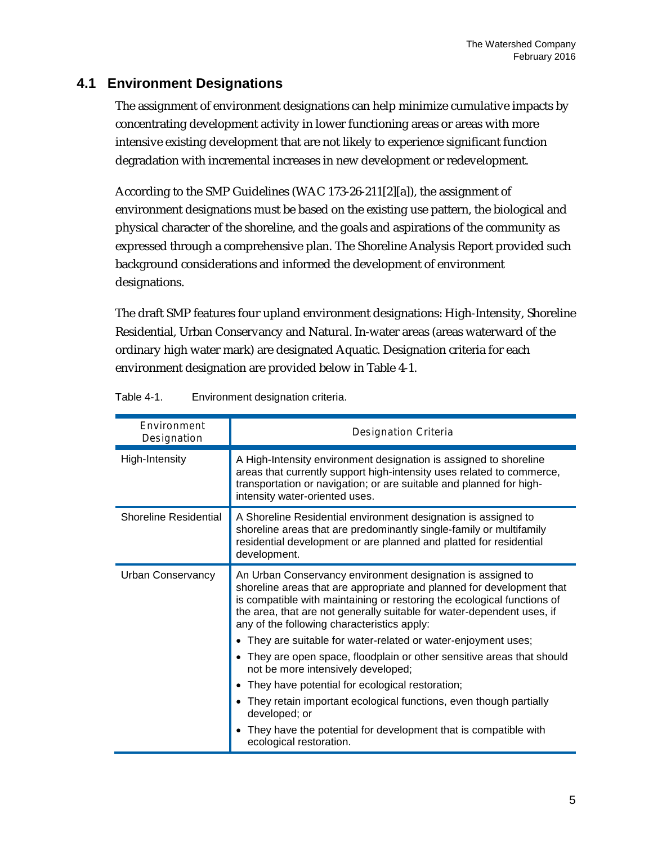#### <span id="page-8-0"></span>**4.1 Environment Designations**

The assignment of environment designations can help minimize cumulative impacts by concentrating development activity in lower functioning areas or areas with more intensive existing development that are not likely to experience significant function degradation with incremental increases in new development or redevelopment.

According to the SMP Guidelines (WAC 173-26-211[2][a]), the assignment of environment designations must be based on the existing use pattern, the biological and physical character of the shoreline, and the goals and aspirations of the community as expressed through a comprehensive plan. The Shoreline Analysis Report provided such background considerations and informed the development of environment designations.

The draft SMP features four upland environment designations: High-Intensity, Shoreline Residential, Urban Conservancy and Natural. In-water areas (areas waterward of the ordinary high water mark) are designated Aquatic. Designation criteria for each environment designation are provided below in Table 4-1.

| <b>Environment</b><br>Designation | Designation Criteria                                                                                                                                                                                                                                                                                                                                                                                       |  |  |
|-----------------------------------|------------------------------------------------------------------------------------------------------------------------------------------------------------------------------------------------------------------------------------------------------------------------------------------------------------------------------------------------------------------------------------------------------------|--|--|
| High-Intensity                    | A High-Intensity environment designation is assigned to shoreline<br>areas that currently support high-intensity uses related to commerce,<br>transportation or navigation; or are suitable and planned for high-<br>intensity water-oriented uses.                                                                                                                                                        |  |  |
| <b>Shoreline Residential</b>      | A Shoreline Residential environment designation is assigned to<br>shoreline areas that are predominantly single-family or multifamily<br>residential development or are planned and platted for residential<br>development.                                                                                                                                                                                |  |  |
| Urban Conservancy                 | An Urban Conservancy environment designation is assigned to<br>shoreline areas that are appropriate and planned for development that<br>is compatible with maintaining or restoring the ecological functions of<br>the area, that are not generally suitable for water-dependent uses, if<br>any of the following characteristics apply:<br>• They are suitable for water-related or water-enjoyment uses; |  |  |
|                                   | • They are open space, floodplain or other sensitive areas that should<br>not be more intensively developed;                                                                                                                                                                                                                                                                                               |  |  |
|                                   | They have potential for ecological restoration;<br>$\bullet$                                                                                                                                                                                                                                                                                                                                               |  |  |
|                                   | • They retain important ecological functions, even though partially<br>developed; or                                                                                                                                                                                                                                                                                                                       |  |  |
|                                   | • They have the potential for development that is compatible with<br>ecological restoration.                                                                                                                                                                                                                                                                                                               |  |  |

Table 4-1. Environment designation criteria.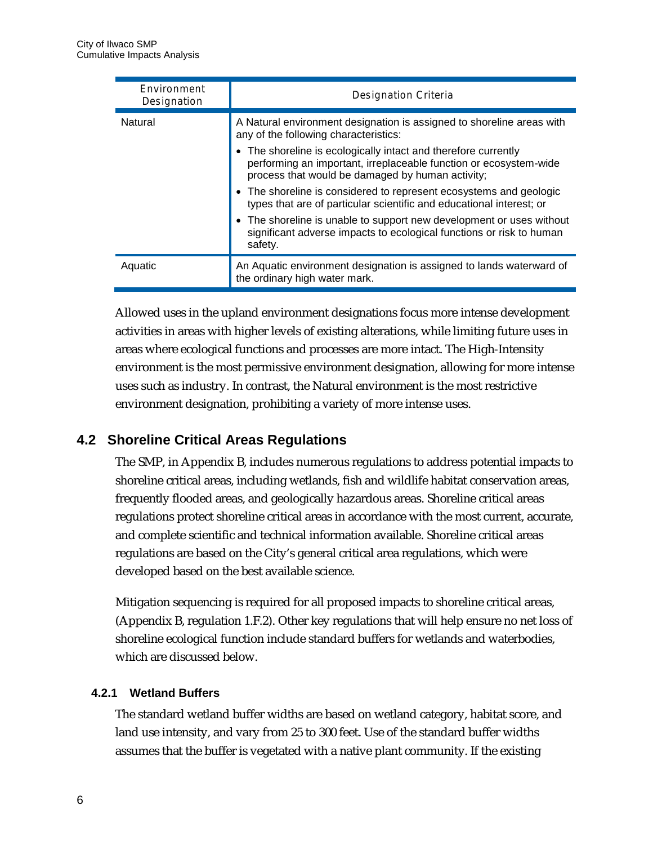| <b>F</b> nvironment<br>Designation | Designation Criteria                                                                                                                                                                                                                                                                                                                                                                                                                                                                                                                                                                                               |
|------------------------------------|--------------------------------------------------------------------------------------------------------------------------------------------------------------------------------------------------------------------------------------------------------------------------------------------------------------------------------------------------------------------------------------------------------------------------------------------------------------------------------------------------------------------------------------------------------------------------------------------------------------------|
| Natural                            | A Natural environment designation is assigned to shoreline areas with<br>any of the following characteristics:<br>• The shoreline is ecologically intact and therefore currently<br>performing an important, irreplaceable function or ecosystem-wide<br>process that would be damaged by human activity;<br>• The shoreline is considered to represent ecosystems and geologic<br>types that are of particular scientific and educational interest; or<br>• The shoreline is unable to support new development or uses without<br>significant adverse impacts to ecological functions or risk to human<br>safety. |
| Aquatic                            | An Aquatic environment designation is assigned to lands waterward of<br>the ordinary high water mark.                                                                                                                                                                                                                                                                                                                                                                                                                                                                                                              |

Allowed uses in the upland environment designations focus more intense development activities in areas with higher levels of existing alterations, while limiting future uses in areas where ecological functions and processes are more intact. The High-Intensity environment is the most permissive environment designation, allowing for more intense uses such as industry. In contrast, the Natural environment is the most restrictive environment designation, prohibiting a variety of more intense uses.

#### <span id="page-9-0"></span>**4.2 Shoreline Critical Areas Regulations**

The SMP, in Appendix B, includes numerous regulations to address potential impacts to shoreline critical areas, including wetlands, fish and wildlife habitat conservation areas, frequently flooded areas, and geologically hazardous areas. Shoreline critical areas regulations protect shoreline critical areas in accordance with the most current, accurate, and complete scientific and technical information available. Shoreline critical areas regulations are based on the City's general critical area regulations, which were developed based on the best available science.

Mitigation sequencing is required for all proposed impacts to shoreline critical areas, (Appendix B, regulation 1.F.2). Other key regulations that will help ensure no net loss of shoreline ecological function include standard buffers for wetlands and waterbodies, which are discussed below.

#### <span id="page-9-1"></span>**4.2.1 Wetland Buffers**

The standard wetland buffer widths are based on wetland category, habitat score, and land use intensity, and vary from 25 to 300 feet. Use of the standard buffer widths assumes that the buffer is vegetated with a native plant community. If the existing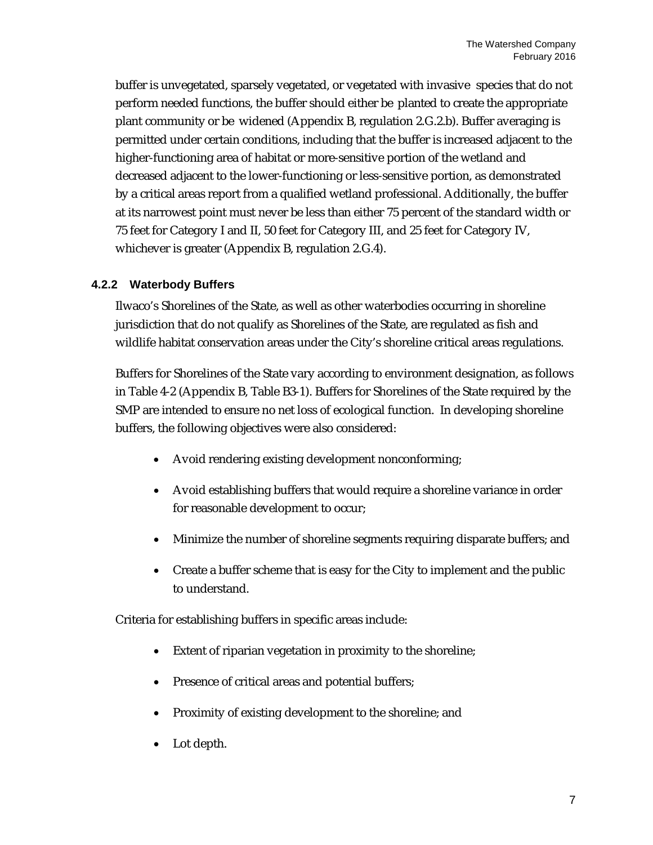buffer is unvegetated, sparsely vegetated, or vegetated with invasive species that do not perform needed functions, the buffer should either be planted to create the appropriate plant community or be widened (Appendix B, regulation 2.G.2.b). Buffer averaging is permitted under certain conditions, including that the buffer is increased adjacent to the higher-functioning area of habitat or more-sensitive portion of the wetland and decreased adjacent to the lower-functioning or less-sensitive portion, as demonstrated by a critical areas report from a qualified wetland professional. Additionally, the buffer at its narrowest point must never be less than either 75 percent of the standard width or 75 feet for Category I and II, 50 feet for Category III, and 25 feet for Category IV, whichever is greater (Appendix B, regulation 2.G.4).

#### <span id="page-10-0"></span>**4.2.2 Waterbody Buffers**

Ilwaco's Shorelines of the State, as well as other waterbodies occurring in shoreline jurisdiction that do not qualify as Shorelines of the State, are regulated as fish and wildlife habitat conservation areas under the City's shoreline critical areas regulations.

Buffers for Shorelines of the State vary according to environment designation, as follows in Table 4-2 (Appendix B, Table B3-1). Buffers for Shorelines of the State required by the SMP are intended to ensure no net loss of ecological function. In developing shoreline buffers, the following objectives were also considered:

- Avoid rendering existing development nonconforming;
- Avoid establishing buffers that would require a shoreline variance in order for reasonable development to occur;
- Minimize the number of shoreline segments requiring disparate buffers; and
- Create a buffer scheme that is easy for the City to implement and the public to understand.

Criteria for establishing buffers in specific areas include:

- Extent of riparian vegetation in proximity to the shoreline;
- Presence of critical areas and potential buffers;
- Proximity of existing development to the shoreline; and
- Lot depth.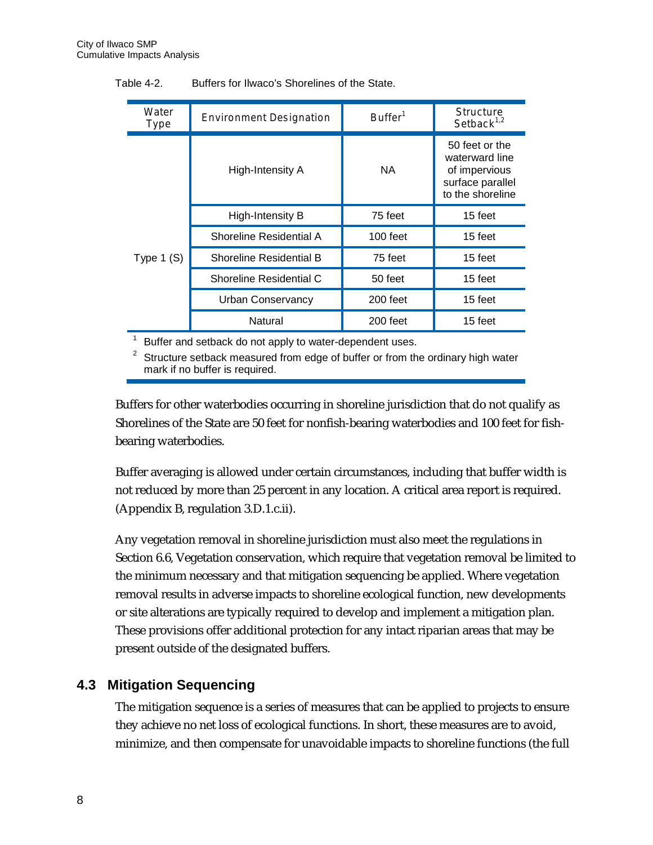| Water<br>Type | Environment Designation        | $B$ uffer <sup>1</sup> | <b>Structure</b><br>Setback $1,2$                                                         |
|---------------|--------------------------------|------------------------|-------------------------------------------------------------------------------------------|
|               | High-Intensity A               | NA.                    | 50 feet or the<br>waterward line<br>of impervious<br>surface parallel<br>to the shoreline |
|               | High-Intensity B               | 75 feet                | 15 feet                                                                                   |
|               | Shoreline Residential A        | 100 feet               | 15 feet                                                                                   |
| Type $1(S)$   | <b>Shoreline Residential B</b> | 75 feet                | 15 feet                                                                                   |
|               | Shoreline Residential C        | 50 feet                | 15 feet                                                                                   |
|               | <b>Urban Conservancy</b>       | 200 feet               | 15 feet                                                                                   |
|               | Natural                        | 200 feet               | 15 feet                                                                                   |

Table 4-2. Buffers for Ilwaco's Shorelines of the State.

 $1$  Buffer and setback do not apply to water-dependent uses.

 $2$  Structure setback measured from edge of buffer or from the ordinary high water mark if no buffer is required.

Buffers for other waterbodies occurring in shoreline jurisdiction that do not qualify as Shorelines of the State are 50 feet for nonfish-bearing waterbodies and 100 feet for fishbearing waterbodies.

Buffer averaging is allowed under certain circumstances, including that buffer width is not reduced by more than 25 percent in any location. A critical area report is required. (Appendix B, regulation 3.D.1.c.ii).

Any vegetation removal in shoreline jurisdiction must also meet the regulations in Section 6.6, Vegetation conservation, which require that vegetation removal be limited to the minimum necessary and that mitigation sequencing be applied. Where vegetation removal results in adverse impacts to shoreline ecological function, new developments or site alterations are typically required to develop and implement a mitigation plan. These provisions offer additional protection for any intact riparian areas that may be present outside of the designated buffers.

#### <span id="page-11-0"></span>**4.3 Mitigation Sequencing**

The mitigation sequence is a series of measures that can be applied to projects to ensure they achieve no net loss of ecological functions. In short, these measures are to avoid, minimize, and then compensate for unavoidable impacts to shoreline functions (the full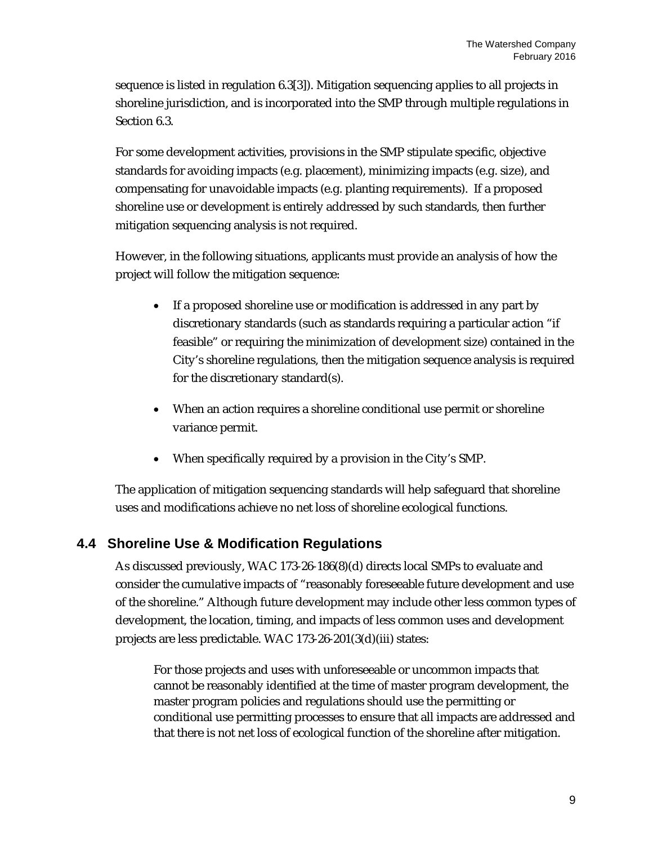sequence is listed in regulation 6.3[3]). Mitigation sequencing applies to all projects in shoreline jurisdiction, and is incorporated into the SMP through multiple regulations in Section 6.3.

For some development activities, provisions in the SMP stipulate specific, objective standards for avoiding impacts (e.g. placement), minimizing impacts (e.g. size), and compensating for unavoidable impacts (e.g. planting requirements). If a proposed shoreline use or development is entirely addressed by such standards, then further mitigation sequencing analysis is not required.

However, in the following situations, applicants must provide an analysis of how the project will follow the mitigation sequence:

- If a proposed shoreline use or modification is addressed in any part by discretionary standards (such as standards requiring a particular action "if feasible" or requiring the minimization of development size) contained in the City's shoreline regulations, then the mitigation sequence analysis is required for the discretionary standard(s).
- When an action requires a shoreline conditional use permit or shoreline variance permit.
- When specifically required by a provision in the City's SMP.

The application of mitigation sequencing standards will help safeguard that shoreline uses and modifications achieve no net loss of shoreline ecological functions.

#### <span id="page-12-0"></span>**4.4 Shoreline Use & Modification Regulations**

As discussed previously, WAC 173-26-186(8)(d) directs local SMPs to evaluate and consider the cumulative impacts of "reasonably foreseeable future development and use of the shoreline." Although future development may include other less common types of development, the location, timing, and impacts of less common uses and development projects are less predictable. WAC 173-26-201(3(d)(iii) states:

For those projects and uses with unforeseeable or uncommon impacts that cannot be reasonably identified at the time of master program development, the master program policies and regulations should use the permitting or conditional use permitting processes to ensure that all impacts are addressed and that there is not net loss of ecological function of the shoreline after mitigation.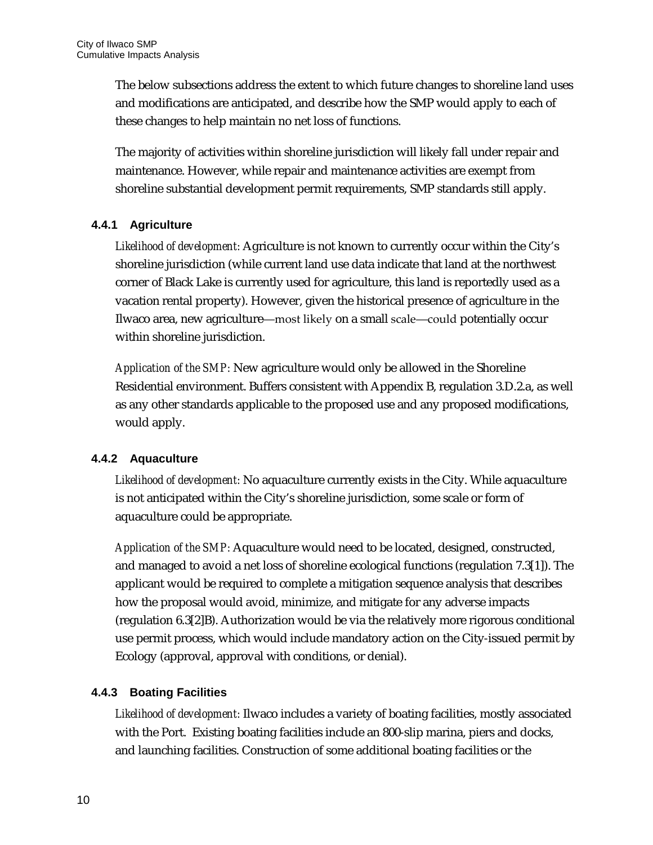The below subsections address the extent to which future changes to shoreline land uses and modifications are anticipated, and describe how the SMP would apply to each of these changes to help maintain no net loss of functions.

The majority of activities within shoreline jurisdiction will likely fall under repair and maintenance. However, while repair and maintenance activities are exempt from shoreline substantial development permit requirements, SMP standards still apply.

#### <span id="page-13-0"></span>**4.4.1 Agriculture**

*Likelihood of development:* Agriculture is not known to currently occur within the City's shoreline jurisdiction (while current land use data indicate that land at the northwest corner of Black Lake is currently used for agriculture, this land is reportedly used as a vacation rental property). However, given the historical presence of agriculture in the Ilwaco area, new agriculture―most likely on a small scale―could potentially occur within shoreline jurisdiction.

*Application of the SMP:* New agriculture would only be allowed in the Shoreline Residential environment. Buffers consistent with Appendix B, regulation 3.D.2.a, as well as any other standards applicable to the proposed use and any proposed modifications, would apply.

#### <span id="page-13-1"></span>**4.4.2 Aquaculture**

*Likelihood of development:* No aquaculture currently exists in the City. While aquaculture is not anticipated within the City's shoreline jurisdiction, some scale or form of aquaculture could be appropriate.

*Application of the SMP:* Aquaculture would need to be located, designed, constructed, and managed to avoid a net loss of shoreline ecological functions (regulation 7.3[1]). The applicant would be required to complete a mitigation sequence analysis that describes how the proposal would avoid, minimize, and mitigate for any adverse impacts (regulation 6.3[2]B). Authorization would be via the relatively more rigorous conditional use permit process, which would include mandatory action on the City-issued permit by Ecology (approval, approval with conditions, or denial).

#### <span id="page-13-2"></span>**4.4.3 Boating Facilities**

*Likelihood of development:* Ilwaco includes a variety of boating facilities, mostly associated with the Port. Existing boating facilities include an 800-slip marina, piers and docks, and launching facilities. Construction of some additional boating facilities or the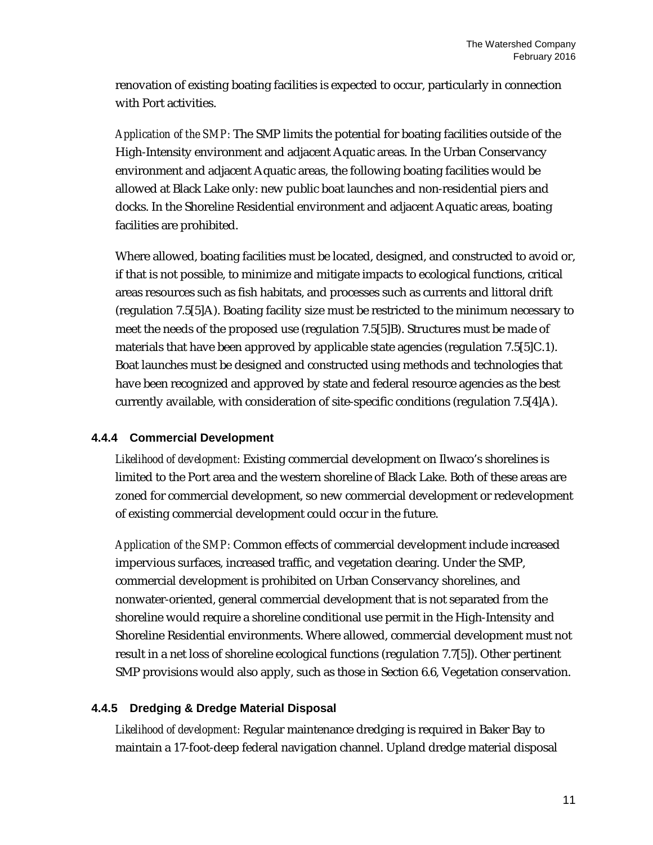renovation of existing boating facilities is expected to occur, particularly in connection with Port activities.

*Application of the SMP:* The SMP limits the potential for boating facilities outside of the High-Intensity environment and adjacent Aquatic areas. In the Urban Conservancy environment and adjacent Aquatic areas, the following boating facilities would be allowed at Black Lake only: new public boat launches and non-residential piers and docks. In the Shoreline Residential environment and adjacent Aquatic areas, boating facilities are prohibited.

Where allowed, boating facilities must be located, designed, and constructed to avoid or, if that is not possible, to minimize and mitigate impacts to ecological functions, critical areas resources such as fish habitats, and processes such as currents and littoral drift (regulation 7.5[5]A). Boating facility size must be restricted to the minimum necessary to meet the needs of the proposed use (regulation 7.5[5]B). Structures must be made of materials that have been approved by applicable state agencies (regulation 7.5[5]C.1). Boat launches must be designed and constructed using methods and technologies that have been recognized and approved by state and federal resource agencies as the best currently available, with consideration of site-specific conditions (regulation 7.5[4]A).

#### <span id="page-14-0"></span>**4.4.4 Commercial Development**

*Likelihood of development:* Existing commercial development on Ilwaco's shorelines is limited to the Port area and the western shoreline of Black Lake. Both of these areas are zoned for commercial development, so new commercial development or redevelopment of existing commercial development could occur in the future.

*Application of the SMP:* Common effects of commercial development include increased impervious surfaces, increased traffic, and vegetation clearing. Under the SMP, commercial development is prohibited on Urban Conservancy shorelines, and nonwater-oriented, general commercial development that is not separated from the shoreline would require a shoreline conditional use permit in the High-Intensity and Shoreline Residential environments. Where allowed, commercial development must not result in a net loss of shoreline ecological functions (regulation 7.7[5]). Other pertinent SMP provisions would also apply, such as those in Section 6.6, Vegetation conservation.

#### <span id="page-14-1"></span>**4.4.5 Dredging & Dredge Material Disposal**

*Likelihood of development:* Regular maintenance dredging is required in Baker Bay to maintain a 17-foot-deep federal navigation channel. Upland dredge material disposal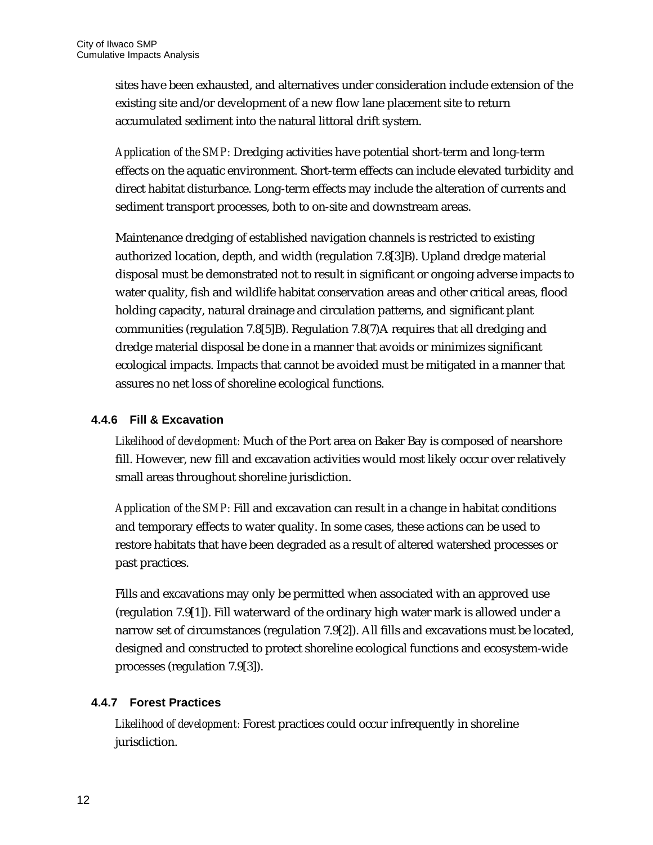sites have been exhausted, and alternatives under consideration include extension of the existing site and/or development of a new flow lane placement site to return accumulated sediment into the natural littoral drift system.

*Application of the SMP:* Dredging activities have potential short-term and long-term effects on the aquatic environment. Short-term effects can include elevated turbidity and direct habitat disturbance. Long-term effects may include the alteration of currents and sediment transport processes, both to on-site and downstream areas.

Maintenance dredging of established navigation channels is restricted to existing authorized location, depth, and width (regulation 7.8[3]B). Upland dredge material disposal must be demonstrated not to result in significant or ongoing adverse impacts to water quality, fish and wildlife habitat conservation areas and other critical areas, flood holding capacity, natural drainage and circulation patterns, and significant plant communities (regulation 7.8[5]B). Regulation 7.8(7)A requires that all dredging and dredge material disposal be done in a manner that avoids or minimizes significant ecological impacts. Impacts that cannot be avoided must be mitigated in a manner that assures no net loss of shoreline ecological functions.

#### <span id="page-15-0"></span>**4.4.6 Fill & Excavation**

*Likelihood of development:* Much of the Port area on Baker Bay is composed of nearshore fill. However, new fill and excavation activities would most likely occur over relatively small areas throughout shoreline jurisdiction.

*Application of the SMP:* Fill and excavation can result in a change in habitat conditions and temporary effects to water quality. In some cases, these actions can be used to restore habitats that have been degraded as a result of altered watershed processes or past practices.

Fills and excavations may only be permitted when associated with an approved use (regulation 7.9[1]). Fill waterward of the ordinary high water mark is allowed under a narrow set of circumstances (regulation 7.9[2]). All fills and excavations must be located, designed and constructed to protect shoreline ecological functions and ecosystem-wide processes (regulation 7.9[3]).

#### <span id="page-15-1"></span>**4.4.7 Forest Practices**

*Likelihood of development:* Forest practices could occur infrequently in shoreline jurisdiction.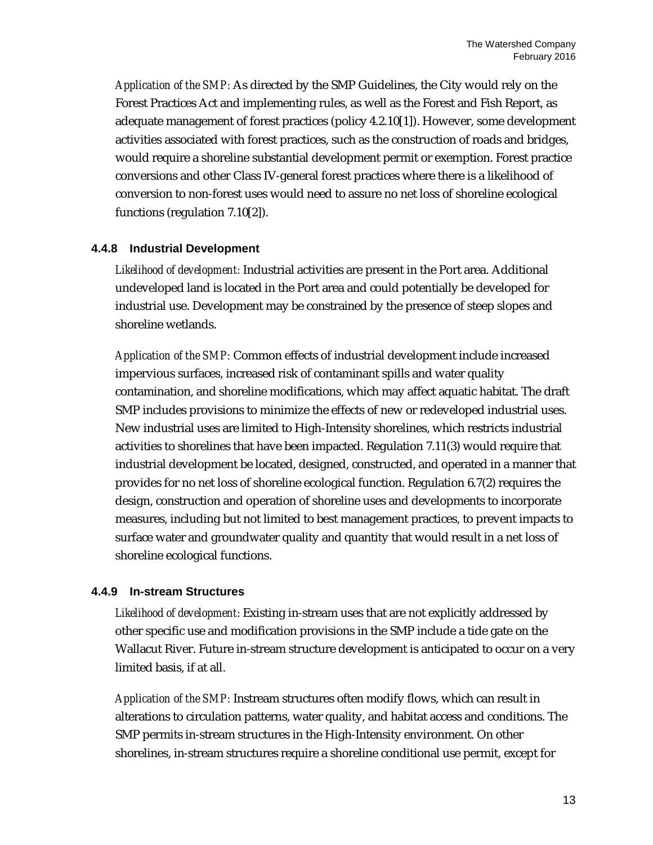*Application of the SMP:* As directed by the SMP Guidelines, the City would rely on the Forest Practices Act and implementing rules, as well as the Forest and Fish Report, as adequate management of forest practices (policy 4.2.10[1]). However, some development activities associated with forest practices, such as the construction of roads and bridges, would require a shoreline substantial development permit or exemption. Forest practice conversions and other Class IV-general forest practices where there is a likelihood of conversion to non-forest uses would need to assure no net loss of shoreline ecological functions (regulation 7.10[2]).

#### <span id="page-16-0"></span>**4.4.8 Industrial Development**

*Likelihood of development:* Industrial activities are present in the Port area. Additional undeveloped land is located in the Port area and could potentially be developed for industrial use. Development may be constrained by the presence of steep slopes and shoreline wetlands.

*Application of the SMP:* Common effects of industrial development include increased impervious surfaces, increased risk of contaminant spills and water quality contamination, and shoreline modifications, which may affect aquatic habitat. The draft SMP includes provisions to minimize the effects of new or redeveloped industrial uses. New industrial uses are limited to High-Intensity shorelines, which restricts industrial activities to shorelines that have been impacted. Regulation 7.11(3) would require that industrial development be located, designed, constructed, and operated in a manner that provides for no net loss of shoreline ecological function. Regulation 6.7(2) requires the design, construction and operation of shoreline uses and developments to incorporate measures, including but not limited to best management practices, to prevent impacts to surface water and groundwater quality and quantity that would result in a net loss of shoreline ecological functions.

#### <span id="page-16-1"></span>**4.4.9 In-stream Structures**

*Likelihood of development:* Existing in-stream uses that are not explicitly addressed by other specific use and modification provisions in the SMP include a tide gate on the Wallacut River. Future in-stream structure development is anticipated to occur on a very limited basis, if at all.

*Application of the SMP:* Instream structures often modify flows, which can result in alterations to circulation patterns, water quality, and habitat access and conditions. The SMP permits in-stream structures in the High-Intensity environment. On other shorelines, in-stream structures require a shoreline conditional use permit, except for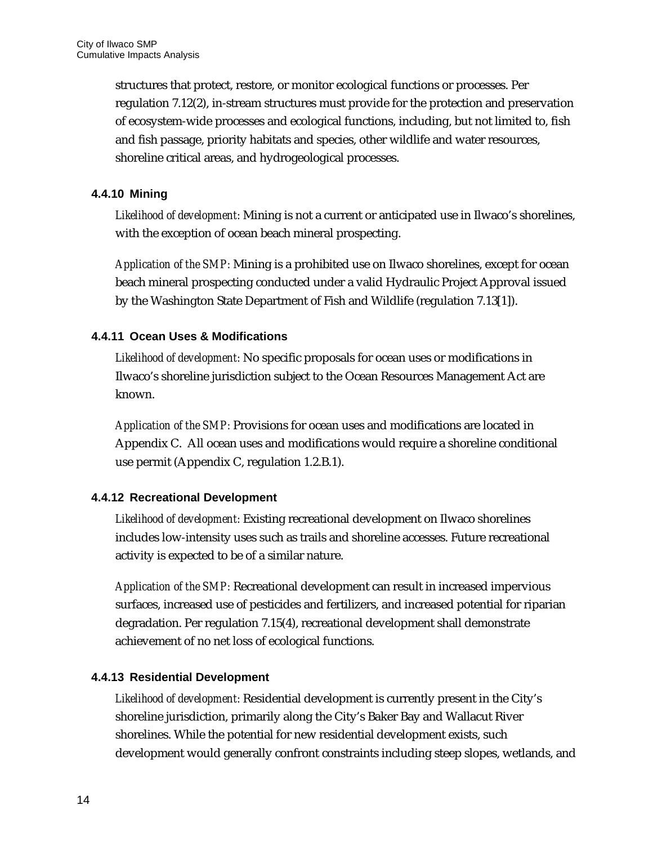structures that protect, restore, or monitor ecological functions or processes. Per regulation 7.12(2), in-stream structures must provide for the protection and preservation of ecosystem-wide processes and ecological functions, including, but not limited to, fish and fish passage, priority habitats and species, other wildlife and water resources, shoreline critical areas, and hydrogeological processes.

#### <span id="page-17-0"></span>**4.4.10 Mining**

*Likelihood of development:* Mining is not a current or anticipated use in Ilwaco's shorelines, with the exception of ocean beach mineral prospecting.

*Application of the SMP:* Mining is a prohibited use on Ilwaco shorelines, except for ocean beach mineral prospecting conducted under a valid Hydraulic Project Approval issued by the Washington State Department of Fish and Wildlife (regulation 7.13[1]).

#### <span id="page-17-1"></span>**4.4.11 Ocean Uses & Modifications**

*Likelihood of development:* No specific proposals for ocean uses or modifications in Ilwaco's shoreline jurisdiction subject to the Ocean Resources Management Act are known.

*Application of the SMP:* Provisions for ocean uses and modifications are located in Appendix C. All ocean uses and modifications would require a shoreline conditional use permit (Appendix C, regulation 1.2.B.1).

#### <span id="page-17-2"></span>**4.4.12 Recreational Development**

*Likelihood of development:* Existing recreational development on Ilwaco shorelines includes low-intensity uses such as trails and shoreline accesses. Future recreational activity is expected to be of a similar nature.

*Application of the SMP:* Recreational development can result in increased impervious surfaces, increased use of pesticides and fertilizers, and increased potential for riparian degradation. Per regulation 7.15(4), recreational development shall demonstrate achievement of no net loss of ecological functions.

#### <span id="page-17-3"></span>**4.4.13 Residential Development**

*Likelihood of development:* Residential development is currently present in the City's shoreline jurisdiction, primarily along the City's Baker Bay and Wallacut River shorelines. While the potential for new residential development exists, such development would generally confront constraints including steep slopes, wetlands, and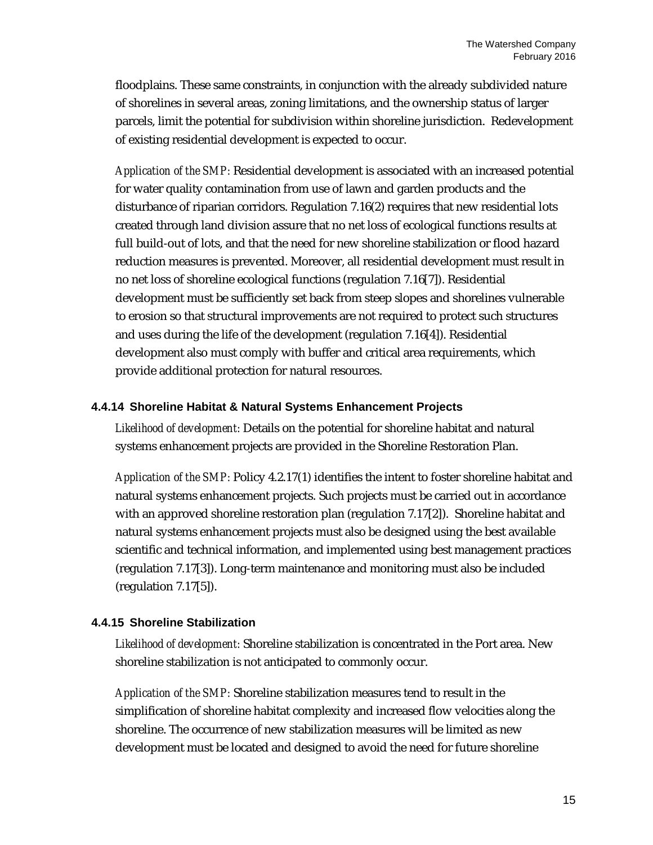floodplains. These same constraints, in conjunction with the already subdivided nature of shorelines in several areas, zoning limitations, and the ownership status of larger parcels, limit the potential for subdivision within shoreline jurisdiction. Redevelopment of existing residential development is expected to occur.

*Application of the SMP:* Residential development is associated with an increased potential for water quality contamination from use of lawn and garden products and the disturbance of riparian corridors. Regulation 7.16(2) requires that new residential lots created through land division assure that no net loss of ecological functions results at full build-out of lots, and that the need for new shoreline stabilization or flood hazard reduction measures is prevented. Moreover, all residential development must result in no net loss of shoreline ecological functions (regulation 7.16[7]). Residential development must be sufficiently set back from steep slopes and shorelines vulnerable to erosion so that structural improvements are not required to protect such structures and uses during the life of the development (regulation 7.16[4]). Residential development also must comply with buffer and critical area requirements, which provide additional protection for natural resources.

#### <span id="page-18-0"></span>**4.4.14 Shoreline Habitat & Natural Systems Enhancement Projects**

*Likelihood of development:* Details on the potential for shoreline habitat and natural systems enhancement projects are provided in the Shoreline Restoration Plan.

*Application of the SMP:* Policy 4.2.17(1) identifies the intent to foster shoreline habitat and natural systems enhancement projects. Such projects must be carried out in accordance with an approved shoreline restoration plan (regulation 7.17[2]). Shoreline habitat and natural systems enhancement projects must also be designed using the best available scientific and technical information, and implemented using best management practices (regulation 7.17[3]). Long-term maintenance and monitoring must also be included (regulation 7.17[5]).

#### <span id="page-18-1"></span>**4.4.15 Shoreline Stabilization**

*Likelihood of development:* Shoreline stabilization is concentrated in the Port area. New shoreline stabilization is not anticipated to commonly occur.

*Application of the SMP:* Shoreline stabilization measures tend to result in the simplification of shoreline habitat complexity and increased flow velocities along the shoreline. The occurrence of new stabilization measures will be limited as new development must be located and designed to avoid the need for future shoreline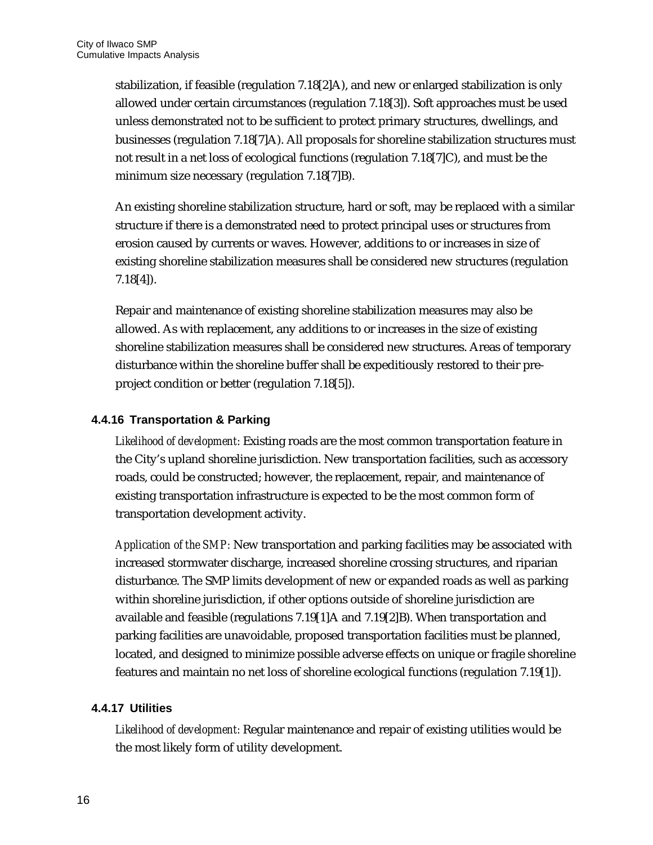stabilization, if feasible (regulation 7.18[2]A), and new or enlarged stabilization is only allowed under certain circumstances (regulation 7.18[3]). Soft approaches must be used unless demonstrated not to be sufficient to protect primary structures, dwellings, and businesses (regulation 7.18[7]A). All proposals for shoreline stabilization structures must not result in a net loss of ecological functions (regulation 7.18[7]C), and must be the minimum size necessary (regulation 7.18[7]B).

An existing shoreline stabilization structure, hard or soft, may be replaced with a similar structure if there is a demonstrated need to protect principal uses or structures from erosion caused by currents or waves. However, additions to or increases in size of existing shoreline stabilization measures shall be considered new structures (regulation 7.18[4]).

Repair and maintenance of existing shoreline stabilization measures may also be allowed. As with replacement, any additions to or increases in the size of existing shoreline stabilization measures shall be considered new structures. Areas of temporary disturbance within the shoreline buffer shall be expeditiously restored to their preproject condition or better (regulation 7.18[5]).

#### <span id="page-19-0"></span>**4.4.16 Transportation & Parking**

*Likelihood of development:* Existing roads are the most common transportation feature in the City's upland shoreline jurisdiction. New transportation facilities, such as accessory roads, could be constructed; however, the replacement, repair, and maintenance of existing transportation infrastructure is expected to be the most common form of transportation development activity.

*Application of the SMP:* New transportation and parking facilities may be associated with increased stormwater discharge, increased shoreline crossing structures, and riparian disturbance. The SMP limits development of new or expanded roads as well as parking within shoreline jurisdiction, if other options outside of shoreline jurisdiction are available and feasible (regulations 7.19[1]A and 7.19[2]B). When transportation and parking facilities are unavoidable, proposed transportation facilities must be planned, located, and designed to minimize possible adverse effects on unique or fragile shoreline features and maintain no net loss of shoreline ecological functions (regulation 7.19[1]).

#### <span id="page-19-1"></span>**4.4.17 Utilities**

*Likelihood of development:* Regular maintenance and repair of existing utilities would be the most likely form of utility development.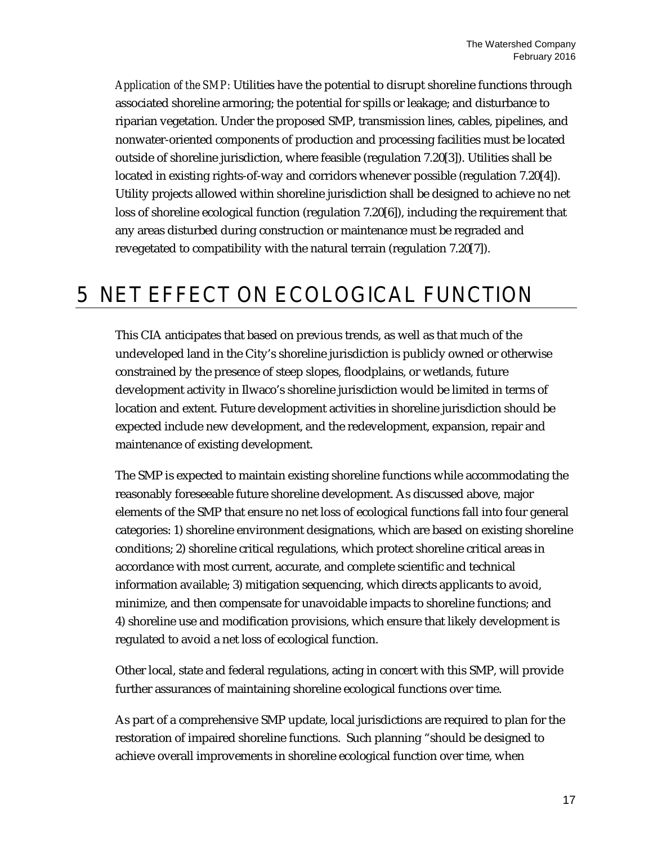*Application of the SMP:* Utilities have the potential to disrupt shoreline functions through associated shoreline armoring; the potential for spills or leakage; and disturbance to riparian vegetation. Under the proposed SMP, transmission lines, cables, pipelines, and nonwater-oriented components of production and processing facilities must be located outside of shoreline jurisdiction, where feasible (regulation 7.20[3]). Utilities shall be located in existing rights-of-way and corridors whenever possible (regulation 7.20[4]). Utility projects allowed within shoreline jurisdiction shall be designed to achieve no net loss of shoreline ecological function (regulation 7.20[6]), including the requirement that any areas disturbed during construction or maintenance must be regraded and revegetated to compatibility with the natural terrain (regulation 7.20[7]).

### <span id="page-20-0"></span>5 NET EFFECT ON ECOLOGICAL FUNCTION

This CIA anticipates that based on previous trends, as well as that much of the undeveloped land in the City's shoreline jurisdiction is publicly owned or otherwise constrained by the presence of steep slopes, floodplains, or wetlands, future development activity in Ilwaco's shoreline jurisdiction would be limited in terms of location and extent. Future development activities in shoreline jurisdiction should be expected include new development, and the redevelopment, expansion, repair and maintenance of existing development.

The SMP is expected to maintain existing shoreline functions while accommodating the reasonably foreseeable future shoreline development. As discussed above, major elements of the SMP that ensure no net loss of ecological functions fall into four general categories: 1) shoreline environment designations, which are based on existing shoreline conditions; 2) shoreline critical regulations, which protect shoreline critical areas in accordance with most current, accurate, and complete scientific and technical information available; 3) mitigation sequencing, which directs applicants to avoid, minimize, and then compensate for unavoidable impacts to shoreline functions; and 4) shoreline use and modification provisions, which ensure that likely development is regulated to avoid a net loss of ecological function.

Other local, state and federal regulations, acting in concert with this SMP, will provide further assurances of maintaining shoreline ecological functions over time.

As part of a comprehensive SMP update, local jurisdictions are required to plan for the restoration of impaired shoreline functions. Such planning "should be designed to achieve overall improvements in shoreline ecological function over time, when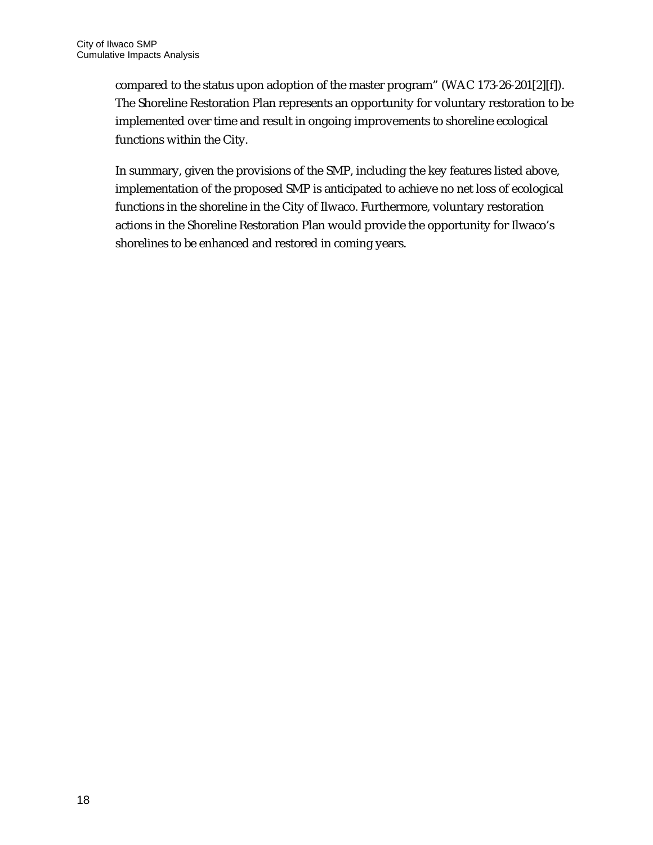compared to the status upon adoption of the master program" (WAC 173-26-201[2][f]). The Shoreline Restoration Plan represents an opportunity for voluntary restoration to be implemented over time and result in ongoing improvements to shoreline ecological functions within the City.

In summary, given the provisions of the SMP, including the key features listed above, implementation of the proposed SMP is anticipated to achieve no net loss of ecological functions in the shoreline in the City of Ilwaco. Furthermore, voluntary restoration actions in the Shoreline Restoration Plan would provide the opportunity for Ilwaco's shorelines to be enhanced and restored in coming years.